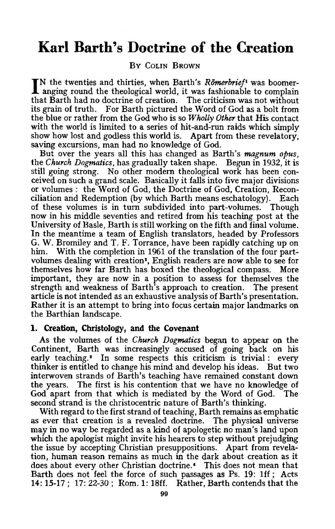# **Karl Barth's Doctrine of the Creation**

## BY COLIN BROWN

IN the twenties and thirties, when Barth's *Römerbrief*<sup>1</sup> was boomeranging round the theological world, it was fashionable to complain that Barth had no doctrine of creation. The criticism was not without its grain of truth. For Barth pictured the Word of God as a bolt from the blue or rather from the God who is so *Wholly Other* that His contact with the world is limited to a series of hit-and-run raids which simply show how lost and godless this world is. Apart from these revelatory, saving excursions, man had no knowledge of God.

But over the years all this has changed as Barth's *magnum opus,*  the *Church Dogmatics,* has gradually taken shape. Begun in 1932, it is still going strong. No other modem theological work has been conceived on such a grand scale. Basically it falls into five major divisions or volumes: the Word of God, the Doctrine of God, Creation, Reconciliation and Redemption (by which Barth means eschatology). Each of these volumes is in turn subdivided into part-volumes. Though now in his middle seventies and retired from his teaching post at the University of Basle, Barth is still working on the fifth and final volume. In the meantime a team of English translators, headed by Professors G. W. Bromiley and T. F. Torrance, have been rapidly catching up on him. With the completion in 1961 of the translation of the four partvolumes dealing with creation\*, English readers are now able to see for themselves how far Barth has boxed the theological compass. More important, they are now in a position to assess for themselves the strength and weakness of Barth's approach to creation. The present article is not intended as an exhaustive analysis of Barth's presentation. Rather it is an attempt to bring into focus certain major landmarks on the Barthian landscape.

#### **1. Creation, Christology, and the Covenant**

As the volumes of the *Church Dogmatics* began to appear on the Continent, Barth was increasingly accused of going back on his early teaching.<sup>3</sup> In some respects this criticism is trivial : every thinker is entitled to change his mind and develop his ideas. But two interwoven strands of Barth's teaching have remained constant down the years. The first is his contention that we have no knowledge of God apart from that which is mediated by the Word of God. The second strand is the christocentric nature of Barth's thinking.

With regard to the first strand of teaching, Barth remains as emphatic as ever that creation is a revealed doctrine. The physical universe may in no way be regarded as a kind of apologetic no man's land upon which the apologist might invite his hearers to step without prejudging the issue by accepting Christian presuppositions. Apart from revelation, human reason remains as much in the dark about creation as it does about every other Christian doctrine. • This does not mean that Barth does not feel the force of such passages as Ps. 19: lff; Acts **14:** 15-17; 17: 22-30; Rom. 1: 18ff. Rather, Barth contends that the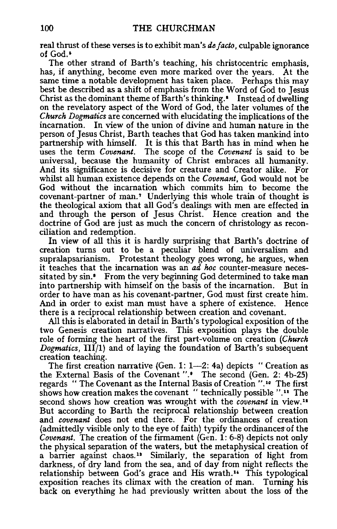real thrust of these verses is to exhibit man's *de facto,* culpable ignorance of God.•

The other strand of Barth's teaching, his christocentric emphasis, has, if anything, become even more marked over the years. At the same time a notable development has taken place. Perhaps this may best be described as a shift of emphasis from the Word of God to Jesus Christ as the dominant theme of Barth's thinking. • Instead of dwelling on the revelatory aspect of the Word of God, the later volumes of the *Church Dogmatics* are concerned with elucidating the implications of the incarnation. In view of the union of divine and human nature in the person of Jesus Christ, Barth teaches that God has taken mankind into partnership with himself. It is this that Barth has in mind when he uses the term *Covenant.* The scope of the *Covenant* is said to be universal, because the humanity of Christ embraces all humanity. And its significance is decisive for creature and Creator alike. For whilst all human existence depends on the *Covenant,* God would not be God without the incarnation which commits him to become the covenant-partner of man. 7 Underlying this whole train of thought is the theological axiom that all God's dealings with men are effected in and through the person of Jesus Christ. Hence creation and the doctrine of God are just as much the concern of christology as reconciliation and redemption.

In view of all this it is hardly surprising that Barth's doctrine of creation turns out to be a peculiar blend of universalism and supralapsarianism. Protestant theology goes wrong, he argues, when it teaches that the incarnation was an *ad hoc* counter-measure necessitated by sin.<sup>8</sup> From the very beginning God determined to take man into partnership with himself on the basis of the incarnation. But in order to have man as his covenant-partner, God must first create him. And in order to exist man must have a sphere of existence. Hence there is a reciprocal relationship between creation and covenant.

All this is elaborated in detail in Barth's typological exposition of the two Genesis creation narratives. This exposition plays the double role of forming the heart of the first part-volume on creation *(Church Dogmatics,* III/1) and of laying the foundation of Barth's subsequent creation teaching.

The first creation narrative (Gen. 1:  $1-2$ : 4a) depicts "Creation as the External Basis of the Covenant ".• The second (Gen. 2: 4b-25) regards " The Covenant as the Internal Basis of Creation ".<sup>10</sup> The first shows how creation makes the covenant " technically possible ". $11$  The second shows how creation was wrought with the *covenant* in view.<sup>12</sup> But according to Barth the reciprocal relationship between creation and *covenant* does not end there. For the ordinances of creation (admittedly visible only to the eye of faith) typify the ordinances-of the *Covenant.* The creation of the firmament (Gen. 1: 6-8) depicts not only the physical separation of the waters, but the metaphysical creation of a barrier against chaos.<sup>13</sup> Similarly, the separation of light from darkness, of dry land from the sea, and of day from night reflects the relationship between God's grace and His wrath.<sup>14</sup> This typological exposition reaches its climax with the creation of man. Turning his back on everything he had previously written about the loss of the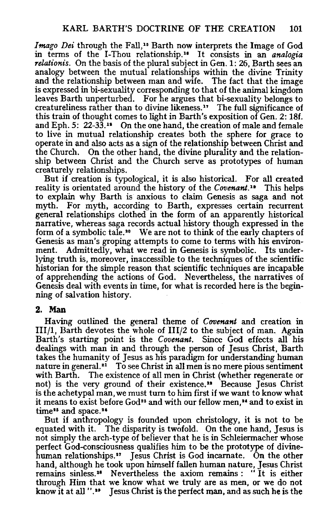Imago Dei through the Fall,<sup>15</sup> Barth now interprets the Image of God in terms of the I-Thou relationship.<sup>16</sup> It consists in an *analogia relationis.* On the basis of the plural subject in Gen. 1: 26, Barth sees an analogy between the mutual relationships within the divine Trinity and the relationship between man and wife. The fact that the image is expressed in bi-sexuality corresponding to that of the animal kingdom leaves Barth unperturbed. For he argues that bi-sexuality belongs to creatureliness rather than to divine likeness. 17 The full significance of this train of thought comes to light in Barth's exposition of Gen. 2: 18f. and  $Eph. 5: 22-33<sup>18</sup>$  On the one hand, the creation of male and female to live in mutual relationship creates both the sphere for grace to operate in and also acts as a sign of the relationship between Christ and the Church. On the other hand, the divine plurality and the relationship between Christ and the Church serve as prototypes of human creaturely relationships.

But if creation is typological, it is also historical. For all created reality is orientated around the history of the *Covenant*.<sup>10</sup> This helps to explain why Barth is anxious to claim Genesis as saga and not myth. For myth, according to Barth, expresses certain recurrent general relationships clothed in the form of an apparently historical narrative, whereas saga records actual history though expressed in the form of a symbolic tale. 10 We are not to think of the early chapters of Genesis as man's groping attempts to come to terms with his environment. Admittedly, what we read in Genesis is symbolic. Its underlying truth is, moreover, inaccessible to the techniques of the scientific historian for the simple reason that scientific techniques are incapable of apprehending the actions of God. Nevertheless, the narratives of Genesis deal with events in time, for what is recorded here is the beginning of salvation history.

## 2. Man

Having outlined the general theme of *Covenant* and creation in III/1, Barth devotes the whole of III/2 to the subject of man. Again Barth's starting point is the *Covenant.* Since God effects all his dealings with man in and through the person of Jesus Christ, Barth takes the humanity of Jesus as his paradigm for understanding human nature in general.<sup>21</sup> To see Christ in all men is no mere pious sentiment with Barth. The existence of all men in Christ (whether regenerate or not) is the very ground of their existence." Because Jesus Christ is the achetypal man, we must turn to him first if we want to know what it means to exist before  $God^{18}$  and with our fellow men,<sup>24</sup> and to exist in time<sup>15</sup> and space.<sup>26</sup>

But if anthropology is founded upon christology, it is not to be equated with it. The disparity is twofold. On the one hand, Jesus is not simply the arch-type of believer that he is in Schleiermacher whose perfect God-consciousness qualifies him to be the prototype of divinehuman relationships." Jesus Christ is God incarnate. On the other hand, although he took upon himself fallen human nature, Jesus Christ remains sinless.<sup>28</sup> Nevertheless the axiom remains : "It is either through Him that we know what we truly are as men, or we do not know it at all " $\cdot$ <sup>11</sup> Jesus Christ is the perfect man, and as such he is the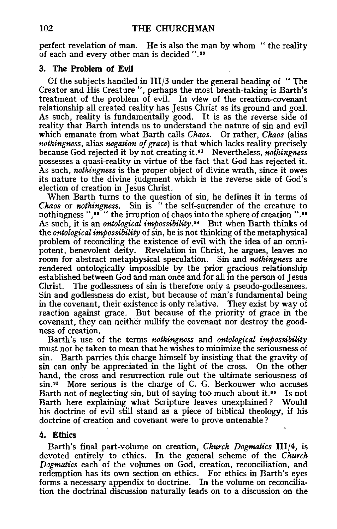perfect revelation of man. He is also the man by whom " the reality of each and every other man is decided ". ao

## **3. The Problem of Evil**

Of the subjects handled in III/3 under the general heading of "The Creator and His Creature ", perhaps the most breath-taking is Barth's treatment of the problem of evil. In view of the creation-covenant relationship all created reality has Jesus Christ as its ground and goal. As such, reality is fundamentally good. It is as the reverse side of reality that Barth intends us to understand the nature of sin and evil which emanate from what Barth calls *Chaos.* Or rather, *Chaos* (alias *nothingness,* alias *negation of grace)* is that which lacks reality precisely because God rejected it by not creating it. 31 Nevertheless, *nothingness*  possesses a quasi-reality in virtue of the fact that God has rejected it. As such, *nothingness* is the proper object of divine wrath, since it owes its nature to the divine judgment which is the reverse side of God's election of creation in Jesus Christ.

When Barth turns to the question of sin, he defines it in terms of *Chaos* or *nothingness.* Sin is "the self-surrender of the creature to nothingness ","" the irruption of chaos into the sphere of creation "." As such, it is an *ontological impossibility*.<sup>84</sup> But when Barth thinks of the *ontological impossibility* of sin, he is not thinking of the metaphysical problem of reconciling the existence of evil with the idea of an omnipotent, benevolent deity. Revelation in Christ, he argues, leaves no room for abstract metaphysical speculation. Sin and *nothingness* are rendered ontologically impossible by the prior gracious relationship established between God and man once and for all in the person of Jesus Christ. The godlessness of sin is therefore only a pseudo-godlessness. Sin and godlessness do exist, but because of man's fundamental being in the covenant, their existence is only relative. They exist by way of reaction against grace. But because of the priority of grace in the covenant, they can neither nullify the covenant nor destroy the goodness of creation.

Barth's use of the terms *nothingness* and *ontological impossibility*  must not be taken to mean that he wishes to minimize the seriousness of sin. Barth parries this charge himself by insisting that the gravity of sin can only be appreciated in the light of the cross. On the other hand, the cross and resurrection rule out the ultimate seriousness of  $\sin^{35}$  More serious is the charge of C. G. Berkouwer who accuses Barth not of neglecting sin, but of saying too much about it.<sup>36</sup> Is not Barth here explaining what Scripture leaves unexplained ? Would his doctrine of evil still stand as a piece of biblical theology, if his doctrine of creation and covenant were to prove untenable ?

## **4. Ethics**

Barth's final part-volume on creation, *Church Dogmatics* 111/4, is devoted entirely to ethics. In the general scheme of the *Church Dogmatics* each of the volumes on God, creation, reconciliation, and redemption has its own section on ethics. For ethics in Barth's eyes forms a necessary appendix to doctrine. In the volume on reconciliation the doctrinal discussion naturally leads on to a discussion on the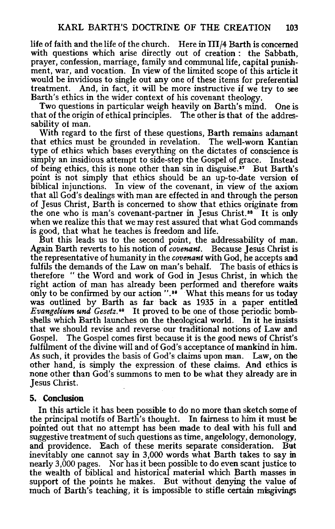life of faith and the life of the church. Here in III/4 Barth is concerned with questions which arise directly out of creation : the Sabbath, prayer, confession, marriage, family and communal life, capital punishment, war, and vocation. In view of the limited scope of this article it would be invidious to single out any one of these items for preferential treatment. And, in fact, it will be more instructive if we try to see And, in fact, it will be more instructive if we try to see Barth's ethics in the wider context of his covenant theology.

Two questions in particular weigh heavily on Barth's mind. One is that of the origin of ethical principles. The other is that of the addres~ sability of man.

With regard to the first of these questions, Barth remains adamant that ethics must be grounded in revelation. The well-worn Kantian type of ethicswhich bases everything on the dictates of conscience is simply an insidious attempt to side-step the Gospel of grace. Instead of being ethics, this is none other than  $\sin$  in disguise.<sup>37</sup> But Barth's point is not simply that ethics should be an up-to-date version of biblical injunctions. In view of the covenant, in view of the axiom that all God's dealings with man are effected in and through the person of Jesus Christ, Barth is concerned to show that ethics originate from the one who is man's covenant-partner in Jesus Christ. •• It is only when we realize this that we may rest assured that what God commands is good, that what he teaches is freedom and life.

But this leads us to the second point, the addressability of man. Again Barth reverts to his notion of *covenant.* Because Jesus Christ is the representative of humanity in the *covenant* with God, he accepts and fulfils the demands of the Law on man's behalf. The basis of ethics is therefore "the Word and work of God in Jesus Christ, in which the right action of man has already been performed and therefore waits only to be confirmed by our action ".<sup>30</sup> What this means for us today was outlined by Barth as far back as 1935 in a paper entitled *Evangelium und Gesetz.'0* It proved to be one of those periodic bombshells which Barth launches on the theological world. In it he insists that we should revise and reverse our traditional notions of Law and Gospel. The Gospel comes first because it is the good news of Christ's fulfilment of the divine will and of God's acceptance of mankind in him. As such, it provides the basis of God's claims upon man. Law, on the other hand, is simply the expression of these claims. And ethics is none other than God's summons to men to be what they already are in Jesus Christ.

## 5. Conclusion

In this article it has been possible to do no more than sketch some of the principal motifs of Barth's thought. In fairness to him it must be pointed out that no attempt has been made to deal with his full and suggestive treatment of such questions as time, angelology, demonology, and providence. Each of these merits separate consideration. But and providence. Each of these merits separate consideration. inevitably one cannot say in 3,000 words what Barth takes to say in nearly 3,000 pages. Nor has it been possible to do even scant justice to the wealth of biblical and historical material which Barth masses in support of the points he makes. But without denying the value of much of Barth's teaching, it is impossible to stifle certain misgivings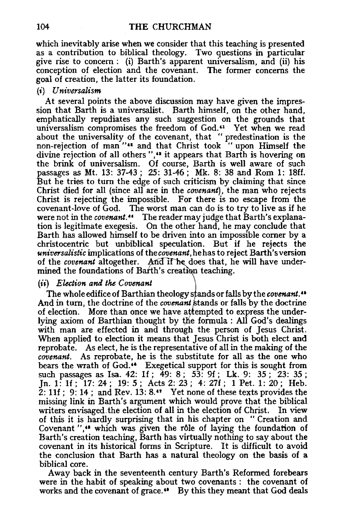which inevitably arise when we consider that this teaching is presented as a contribution to biblical theology. Two questions in particular give rise to concern : (i) Barth's apparent universalism, and (ii) his conception of election and the covenant. The former concerns the goal of creation, the latter its foundation.

#### (i) *Universalism*

At several points the above discussion may have given the impression that Barth is a universalist. Barth himself, on the other hand, emphatically repudiates any such suggestion on the grounds that universalism compromises the freedom of God. $\cdot$  Yet when we read about the universality of the covenant, that " predestination is the non-rejection of man "" and that Christ took " upon Himself the divine rejection of all others ",<sup>48</sup> it appears that Barth is hovering on the brink of universalism. Of course, Barth is well aware of such passages as Mt. 13: 37-43; 25: 31-46; Mk. 8: 38 and Rom 1: 18ff. But he tries to turn the edge of such criticism by claiming that since Christ died for all (since all are in the *covenant),* the man who rejects Christ is rejecting the impossible. For there is no escape from the covenant-love of God. The worst man can do is to try to live as if he were not in the *covenant*." The reader may judge that Barth's explanation is legitimate exegesis. On the other hand, he may conclude that Barth has allowed himself to be driven into an impossible comer by a christocentric but unbiblical speculation. But if he rejects the *universalistic* implications of the *covenant,* he has to reject Barth's version of the *covenant* altogether. And if he does that, he will have undermined the foundations of Barth's creation teaching.

## (ii) *Election and the Covenant*

The whole edifice of Barthian theology stands or falls by the *covenant*. And in turn, the doctrine of the *covenant* stands or falls by the doctrine of election. More than once we have attempted to express the underlying axiom of Barthian thought by the formula: All God's dealings with man are effected in and through the person of Jesus Christ. When applied to election it means that Jesus Christ is both elect and reprobate. As elect, he is the representative of all in the making of the *covenant.* As reprobate, he is the substitute for all as the one who bears the wrath of God.<sup>44</sup> Exegetical support for this is sought from such passages as Isa. 42: 1f;  $\frac{3}{9}$ : 8;  $\frac{53}{3}$ : 9f; Lk. 9: 35;  $\frac{23}{23}$ : 35; Jn. 1: If; 17: 24; 19: 5; Acts 2: 23; 4: 27f; 1 Pet. 1: 20; Heb.  $2: 11f$ ; 9: 14; and Rev. 13: 8.47 Yet none of these texts provides the missing link in Barth's argument which would prove that the biblical writers envisaged the election of all in the election of Christ. of this it is hardly surprising that in his chapter on " Creation and Covenant ",<sup>48</sup> which was given the rôle of laying the foundation of Barth's creation teaching, Barth has virtually nothing to say about the covenant in its historical forms in Scripture. It is difficult to avoid the conclusion that Barth has a natural theology on the basis of a biblical core.

Away back in the seventeenth century Barth's Reformed forebears were in the habit of speaking about two covenants : the covenant of works and the covenant of grace." By this they meant that God deals